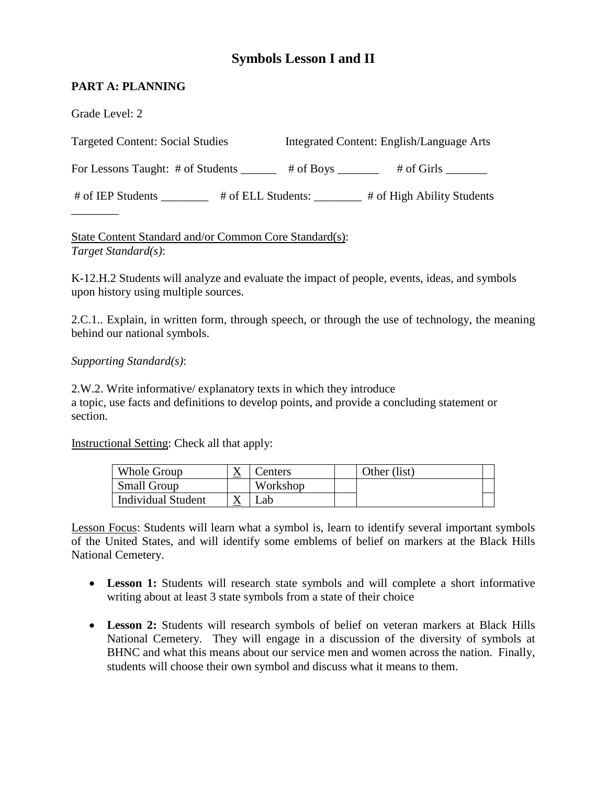# **Symbols Lesson I and II**

# **PART A: PLANNING**

| Grade Level: 2                            |                                                  |
|-------------------------------------------|--------------------------------------------------|
| <b>Targeted Content: Social Studies</b>   | Integrated Content: English/Language Arts        |
| For Lessons Taught: # of Students _______ | # of Boys $\frac{1}{\sqrt{2}}$<br>$#$ of Girls   |
| # of IEP Students                         | # of High Ability Students<br># of ELL Students: |
|                                           |                                                  |

State Content Standard and/or Common Core Standard(s): *Target Standard(s)*:

K-12.H.2 Students will analyze and evaluate the impact of people, events, ideas, and symbols upon history using multiple sources.

2.C.1.. Explain, in written form, through speech, or through the use of technology, the meaning behind our national symbols.

*Supporting Standard(s)*:

2.W.2. Write informative/ explanatory texts in which they introduce a topic, use facts and definitions to develop points, and provide a concluding statement or section.

Instructional Setting: Check all that apply:

| Whole Group               | $\Lambda$ | Centers  | Other (list) |  |
|---------------------------|-----------|----------|--------------|--|
| <b>Small Group</b>        |           | Workshop |              |  |
| <b>Individual Student</b> |           | Lab      |              |  |

Lesson Focus: Students will learn what a symbol is, learn to identify several important symbols of the United States, and will identify some emblems of belief on markers at the Black Hills National Cemetery.

- **Lesson 1:** Students will research state symbols and will complete a short informative writing about at least 3 state symbols from a state of their choice
- **Lesson 2:** Students will research symbols of belief on veteran markers at Black Hills National Cemetery. They will engage in a discussion of the diversity of symbols at BHNC and what this means about our service men and women across the nation. Finally, students will choose their own symbol and discuss what it means to them.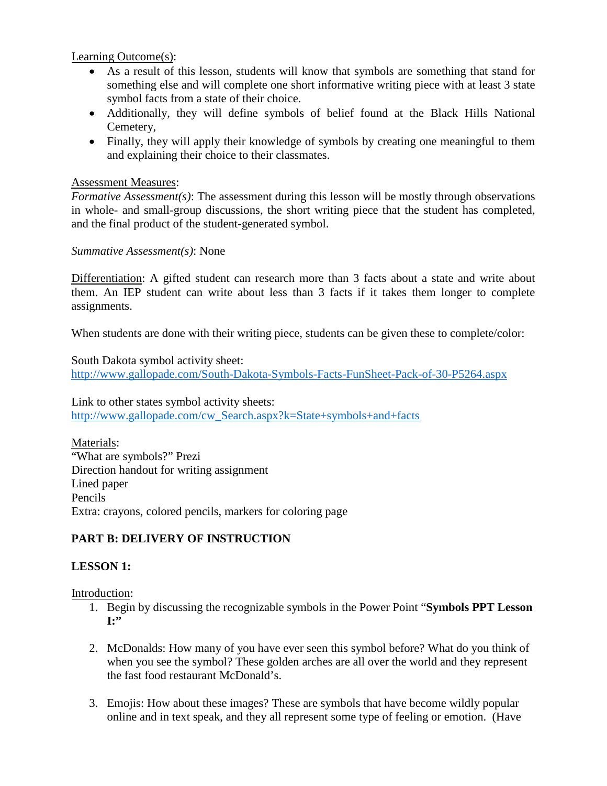Learning Outcome(s):

- symbol facts from a state of their choice. • As a result of this lesson, students will know that symbols are something that stand for something else and will complete one short informative writing piece with at least 3 state
- • Additionally, they will define symbols of belief found at the Black Hills National Cemetery,
- and explaining their choice to their classmates.<br>Assessment Measures: • Finally, they will apply their knowledge of symbols by creating one meaningful to them

*Formative Assessment(s)*: The assessment during this lesson will be mostly through observations in whole- and small-group discussions, the short writing piece that the student has completed, and the final product of the student-generated symbol.

## *Summative Assessment(s)*: None

Differentiation: A gifted student can research more than 3 facts about a state and write about assignments. them. An IEP student can write about less than 3 facts if it takes them longer to complete

When students are done with their writing piece, students can be given these to complete/color:

South Dakota symbol activity sheet: l, South Dakota symbol activity sheet:<br> http://www.gallopade.com/South-Dakota-Symbols-Facts-FunSheet-Pack-of-30-P5264.aspx<br> Link to other states symbol activity sheets:

http://www.gallopade.com/cw\_Search.aspx?k=State+symbols+and+facts<br>Materials:

"What are symbols?" Prezi Direction handout for writing assignment Lined paper Pencils Extra: crayons, colored pencils, markers for coloring page

# **PART B: DELIVERY OF INSTRUCTION**

# **LESSON 1:**

Introduction:

- 1. Begin by discussing the recognizable symbols in the Power Point "**Symbols PPT Lesson I:"**
- 2. McDonalds: How many of you have ever seen this symbol before? What do you think of when you see the symbol? These golden arches are all over the world and they represent the fast food restaurant McDonald's.
- online and in text speak, and they all represent some type of feeling or emotion. (Have 3. Emojis: How about these images? These are symbols that have become wildly popular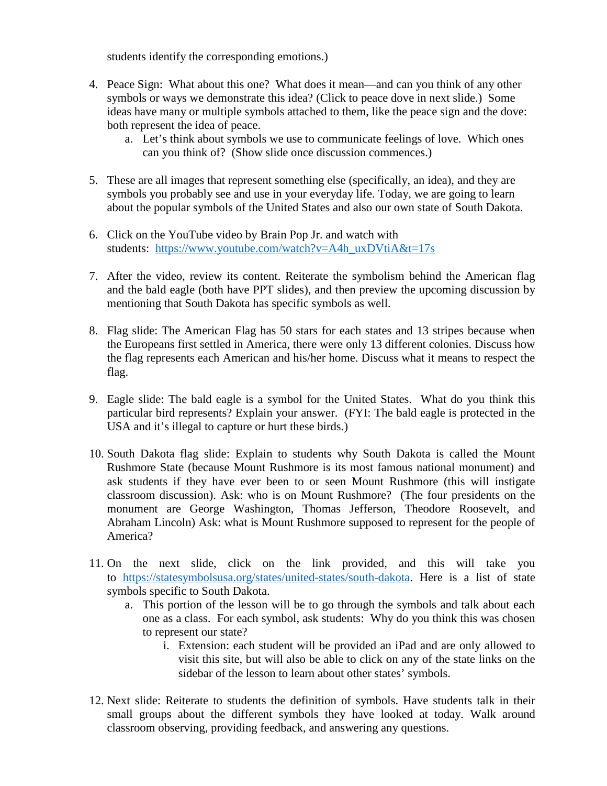students identify the corresponding emotions.)

- ideas have many or multiple symbols attached to them, like the peace sign and the dove: both represent the idea of peace. 4. Peace Sign: What about this one? What does it mean—and can you think of any other symbols or ways we demonstrate this idea? (Click to peace dove in next slide.) Some
	- a. Let's think about symbols we use to communicate feelings of love. Which ones can you think of? (Show slide once discussion commences.)
- symbols you probably see and use in your everyday life. Today, we are going to learn 5. These are all images that represent something else (specifically, an idea), and they are about the popular symbols of the United States and also our own state of South Dakota.
- 6. Click on the YouTube video by Brain Pop Jr. and watch with students: https://www.youtube.com/watch?v=A4h\_uxDVtiA&t=17s
- and the bald eagle (both have PPT slides), and then preview the upcoming discussion by mentioning that South Dakota has specific symbols as well. 7. After the video, review its content. Reiterate the symbolism behind the American flag
- mentioning that South Dakota has specific symbols as well.<br>8. Flag slide: The American Flag has 50 stars for each states and 13 stripes because when the flag represents each American and his/her home. Discuss what it means to respect the the Europeans first settled in America, there were only 13 different colonies. Discuss how flag.
- 9. Eagle slide: The bald eagle is a symbol for the United States. What do you think this particular bird represents? Explain your answer. (FYI: The bald eagle is protected in the USA and it's illegal to capture or hurt these birds.)
- 10. South Dakota flag slide: Explain to students why South Dakota is called the Mount Rushmore State (because Mount Rushmore is its most famous national monument) and ask students if they have ever been to or seen Mount Rushmore (this will instigate classroom discussion). Ask: who is on Mount Rushmore? (The four presidents on the monument are George Washington, Thomas Jefferson, Theodore Roosevelt, and Abraham Lincoln) Ask: what is Mount Rushmore supposed to represent for the people of America?
- 11. On the next slide, click on the link provided, and this will take you to [https://statesymbolsusa.org/states/united-states/south-dakota.](https://statesymbolsusa.org/states/united-states/south-dakota) Here is a list of state symbols specific to South Dakota.
	- one as a class. For each symbol, ask students: Why do you think this was chosen a. This portion of the lesson will be to go through the symbols and talk about each to represent our state?
		- visit this site, but will also be able to click on any of the state links on the sidebar of the lesson to learn about other states' symbols. i. Extension: each student will be provided an iPad and are only allowed to
- 12. Next slide: Reiterate to students the definition of symbols. Have students talk in their small groups about the different symbols they have looked at today. Walk around classroom observing, providing feedback, and answering any questions.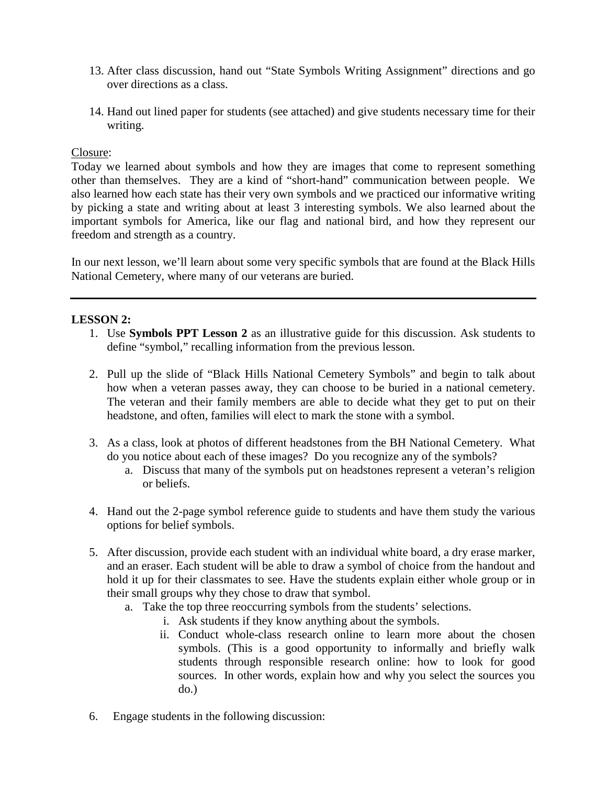- 13. After class discussion, hand out "State Symbols Writing Assignment" directions and go over directions as a class.
- 14. Hand out lined paper for students (see attached) and give students necessary time for their writing.

#### Closure:

 Today we learned about symbols and how they are images that come to represent something other than themselves. They are a kind of "short-hand" communication between people. We freedom and strength as a country. also learned how each state has their very own symbols and we practiced our informative writing by picking a state and writing about at least 3 interesting symbols. We also learned about the important symbols for America, like our flag and national bird, and how they represent our

 In our next lesson, we'll learn about some very specific symbols that are found at the Black Hills National Cemetery, where many of our veterans are buried.

## **LESSON 2:**

- 1. Use **Symbols PPT Lesson 2** as an illustrative guide for this discussion. Ask students to define "symbol," recalling information from the previous lesson.
- how when a veteran passes away, they can choose to be buried in a national cemetery. headstone, and often, families will elect to mark the stone with a symbol. 2. Pull up the slide of "Black Hills National Cemetery Symbols" and begin to talk about The veteran and their family members are able to decide what they get to put on their
- do you notice about each of these images? Do you recognize any of the symbols? 3. As a class, look at photos of different headstones from the BH National Cemetery. What
	- a. Discuss that many of the symbols put on headstones represent a veteran's religion or beliefs.
- 4. Hand out the 2-page symbol reference guide to students and have them study the various options for belief symbols.
- and an eraser. Each student will be able to draw a symbol of choice from the handout and hold it up for their classmates to see. Have the students explain either whole group or in 5. After discussion, provide each student with an individual white board, a dry erase marker, their small groups why they chose to draw that symbol.
	- a. Take the top three reoccurring symbols from the students' selections.
		- i. Ask students if they know anything about the symbols.
		- sources. In other words, explain how and why you select the sources you ii. Conduct whole-class research online to learn more about the chosen symbols. (This is a good opportunity to informally and briefly walk students through responsible research online: how to look for good do.)
- 6. Engage students in the following discussion: